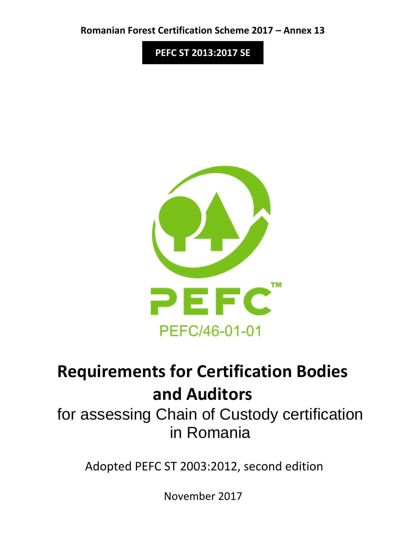**Romanian Forest Certification Scheme 2017 – Annex 13**

**PEFC ST 2013:2017 SE**



# **Requirements for Certification Bodies and Auditors**

for assessing Chain of Custody certification in Romania

Adopted PEFC ST 2003:2012, second edition

November 2017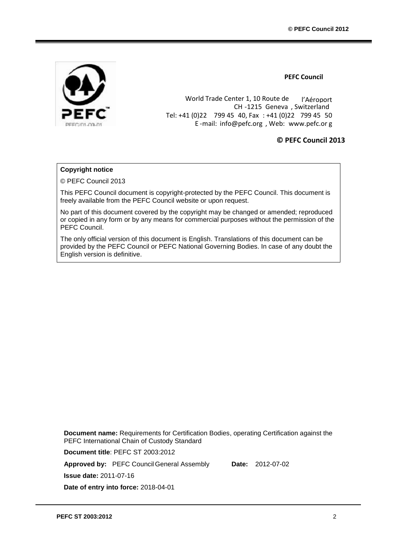

**PEFC Council**

World Trade Center 1, 10 Route de l'Aéroport CH -1215 Geneva , Switzerland Tel: +41 (0)22 799 45 40, Fax : +41 (0)22 799 45 50 E -mail: info@pefc.org , Web: [www.pefc.or](http://www.pefc.org/) [g](http://www.pefc.org/)

#### **© PEFC Council 2013**

#### **Copyright notice**

© PEFC Council 2013

This PEFC Council document is copyright-protected by the PEFC Council. This document is freely available from the PEFC Council website or upon request.

No part of this document covered by the copyright may be changed or amended; reproduced or copied in any form or by any means for commercial purposes without the permission of the PEFC Council.

The only official version of this document is English. Translations of this document can be provided by the PEFC Council or PEFC National Governing Bodies. In case of any doubt the English version is definitive.

**Document name:** Requirements for Certification Bodies, operating Certification against the PEFC International Chain of Custody Standard

**Document title**: PEFC ST 2003:2012

**Approved by:** PEFC Council General Assembly **Date:** 2012-07-02

**Issue date:** 2011-07-16

**Date of entry into force:** 2018-04-01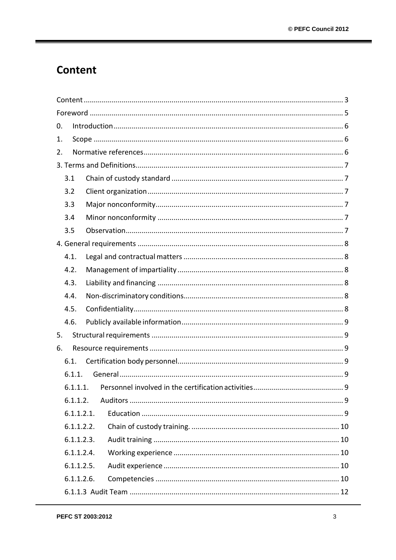# <span id="page-2-0"></span>Content

| 0.         |  |  |  |
|------------|--|--|--|
| 1.         |  |  |  |
| 2.         |  |  |  |
|            |  |  |  |
| 3.1        |  |  |  |
| 3.2        |  |  |  |
| 3.3        |  |  |  |
| 3.4        |  |  |  |
| 3.5        |  |  |  |
|            |  |  |  |
| 4.1.       |  |  |  |
| 4.2.       |  |  |  |
| 4.3.       |  |  |  |
| 4.4.       |  |  |  |
| 4.5.       |  |  |  |
| 4.6.       |  |  |  |
| 5.         |  |  |  |
| 6.         |  |  |  |
| 6.1.       |  |  |  |
| 6.1.1.     |  |  |  |
| 6.1.1.1.   |  |  |  |
| 6.1.1.2.   |  |  |  |
| 6.1.1.2.1. |  |  |  |
| 6.1.1.2.2. |  |  |  |
| 6.1.1.2.3. |  |  |  |
| 6.1.1.2.4. |  |  |  |
| 6.1.1.2.5. |  |  |  |
| 6.1.1.2.6. |  |  |  |
|            |  |  |  |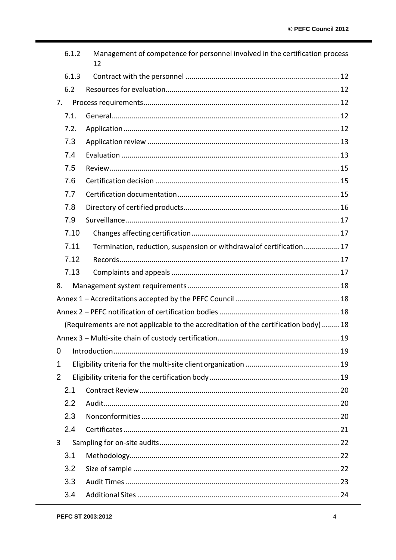|                                                                                     | 6.1.2 | Management of competence for personnel involved in the certification process<br>12 |  |
|-------------------------------------------------------------------------------------|-------|------------------------------------------------------------------------------------|--|
|                                                                                     | 6.1.3 |                                                                                    |  |
|                                                                                     | 6.2   |                                                                                    |  |
|                                                                                     | 7.    |                                                                                    |  |
|                                                                                     | 7.1.  |                                                                                    |  |
|                                                                                     | 7.2.  |                                                                                    |  |
|                                                                                     | 7.3   |                                                                                    |  |
|                                                                                     | 7.4   |                                                                                    |  |
|                                                                                     | 7.5   |                                                                                    |  |
|                                                                                     | 7.6   |                                                                                    |  |
|                                                                                     | 7.7   |                                                                                    |  |
|                                                                                     | 7.8   |                                                                                    |  |
|                                                                                     | 7.9   |                                                                                    |  |
|                                                                                     | 7.10  |                                                                                    |  |
|                                                                                     | 7.11  | Termination, reduction, suspension or withdrawal of certification 17               |  |
|                                                                                     | 7.12  |                                                                                    |  |
|                                                                                     | 7.13  |                                                                                    |  |
| 8.                                                                                  |       |                                                                                    |  |
|                                                                                     |       |                                                                                    |  |
|                                                                                     |       |                                                                                    |  |
| (Requirements are not applicable to the accreditation of the certification body) 18 |       |                                                                                    |  |
|                                                                                     |       |                                                                                    |  |
| 0                                                                                   |       |                                                                                    |  |
| 1                                                                                   |       |                                                                                    |  |
| $\overline{2}$                                                                      |       |                                                                                    |  |
|                                                                                     | 2.1   |                                                                                    |  |
|                                                                                     | 2.2   |                                                                                    |  |
|                                                                                     | 2.3   |                                                                                    |  |
|                                                                                     | 2.4   |                                                                                    |  |
| $\mathbf{3}$                                                                        |       |                                                                                    |  |
|                                                                                     | 3.1   |                                                                                    |  |
|                                                                                     | 3.2   |                                                                                    |  |
|                                                                                     | 3.3   |                                                                                    |  |
|                                                                                     | 3.4   |                                                                                    |  |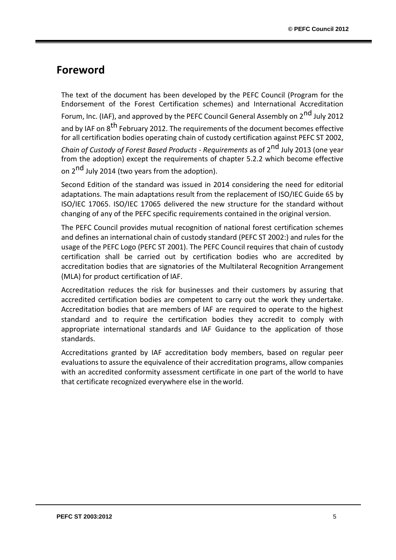## <span id="page-4-0"></span>**Foreword**

The text of the document has been developed by the PEFC Council (Program for the Endorsement of the Forest Certification schemes) and International Accreditation Forum, Inc. (IAF), and approved by the PEFC Council General Assembly on 2<sup>nd</sup> July 2012 and by IAF on 8<sup>th</sup> February 2012. The requirements of the document becomes effective for all certification bodies operating chain of custody certification against PEFC ST 2002,

*Chain of Custody of Forest Based Products - Requirements* as of 2nd July 2013 (one year from the adoption) except the requirements of chapter 5.2.2 which become effective on 2<sup>nd</sup> July 2014 (two years from the adoption).

Second Edition of the standard was issued in 2014 considering the need for editorial adaptations. The main adaptations result from the replacement of ISO/IEC Guide 65 by ISO/IEC 17065. ISO/IEC 17065 delivered the new structure for the standard without changing of any of the PEFC specific requirements contained in the original version.

The PEFC Council provides mutual recognition of national forest certification schemes and defines an international chain of custody standard (PEFC ST 2002:) and rules for the usage of the PEFC Logo (PEFC ST 2001). The PEFC Council requires that chain of custody certification shall be carried out by certification bodies who are accredited by accreditation bodies that are signatories of the Multilateral Recognition Arrangement (MLA) for product certification of IAF.

Accreditation reduces the risk for businesses and their customers by assuring that accredited certification bodies are competent to carry out the work they undertake. Accreditation bodies that are members of IAF are required to operate to the highest standard and to require the certification bodies they accredit to comply with appropriate international standards and IAF Guidance to the application of those standards.

Accreditations granted by IAF accreditation body members, based on regular peer evaluations to assure the equivalence of their accreditation programs, allow companies with an accredited conformity assessment certificate in one part of the world to have that certificate recognized everywhere else in theworld.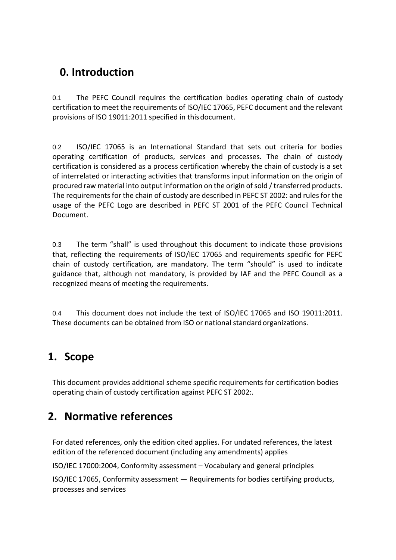# <span id="page-5-0"></span>**0. Introduction**

0.1 The PEFC Council requires the certification bodies operating chain of custody certification to meet the requirements of ISO/IEC 17065, PEFC document and the relevant provisions of ISO 19011:2011 specified in thisdocument.

0.2 ISO/IEC 17065 is an International Standard that sets out criteria for bodies operating certification of products, services and processes. The chain of custody certification is considered as a process certification whereby the chain of custody is a set of interrelated or interacting activities that transforms input information on the origin of procured raw material into output information on the origin of sold / transferred products. The requirements for the chain of custody are described in PEFC ST 2002: and rules for the usage of the PEFC Logo are described in PEFC ST 2001 of the PEFC Council Technical Document.

0.3 The term "shall" is used throughout this document to indicate those provisions that, reflecting the requirements of ISO/IEC 17065 and requirements specific for PEFC chain of custody certification, are mandatory. The term "should" is used to indicate guidance that, although not mandatory, is provided by IAF and the PEFC Council as a recognized means of meeting the requirements.

0.4 This document does not include the text of ISO/IEC 17065 and ISO 19011:2011. These documents can be obtained from ISO or national standard organizations.

### <span id="page-5-1"></span>**1. Scope**

This document provides additional scheme specific requirements for certification bodies operating chain of custody certification against PEFC ST 2002:.

# <span id="page-5-2"></span>**2. Normative references**

For dated references, only the edition cited applies. For undated references, the latest edition of the referenced document (including any amendments) applies

ISO/IEC 17000:2004, Conformity assessment – Vocabulary and general principles

ISO/IEC 17065, Conformity assessment — Requirements for bodies certifying products, processes and services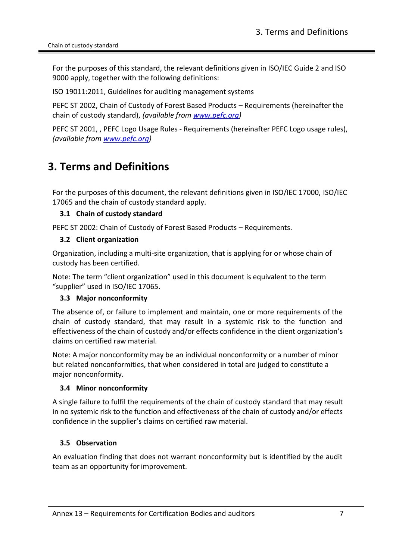For the purposes of this standard, the relevant definitions given in ISO/IEC Guide 2 and ISO 9000 apply, together with the following definitions:

ISO 19011:2011, Guidelines for auditing management systems

PEFC ST 2002, Chain of Custody of Forest Based Products – Requirements (hereinafter the chain of custody standard), *(available from [www.pefc.org\)](http://www.pefc.org/)*

PEFC ST 2001, , PEFC Logo Usage Rules - Requirements (hereinafter PEFC Logo usage rules), *(available from [www.pefc.org\)](http://www.pefc.org/)*

# <span id="page-6-0"></span>**3. Terms and Definitions**

For the purposes of this document, the relevant definitions given in ISO/IEC 17000, ISO/IEC 17065 and the chain of custody standard apply.

#### <span id="page-6-1"></span>**3.1 Chain of custody standard**

<span id="page-6-2"></span>PEFC ST 2002: Chain of Custody of Forest Based Products – Requirements.

#### **3.2 Client organization**

Organization, including a multi-site organization, that is applying for or whose chain of custody has been certified.

Note: The term "client organization" used in this document is equivalent to the term "supplier" used in ISO/IEC 17065.

#### <span id="page-6-3"></span>**3.3 Major nonconformity**

The absence of, or failure to implement and maintain, one or more requirements of the chain of custody standard, that may result in a systemic risk to the function and effectiveness of the chain of custody and/or effects confidence in the client organization's claims on certified raw material.

Note: A major nonconformity may be an individual nonconformity or a number of minor but related nonconformities, that when considered in total are judged to constitute a major nonconformity.

#### <span id="page-6-4"></span>**3.4 Minor nonconformity**

A single failure to fulfil the requirements of the chain of custody standard that may result in no systemic risk to the function and effectiveness of the chain of custody and/or effects confidence in the supplier's claims on certified raw material.

#### <span id="page-6-5"></span>**3.5 Observation**

An evaluation finding that does not warrant nonconformity but is identified by the audit team as an opportunity for improvement.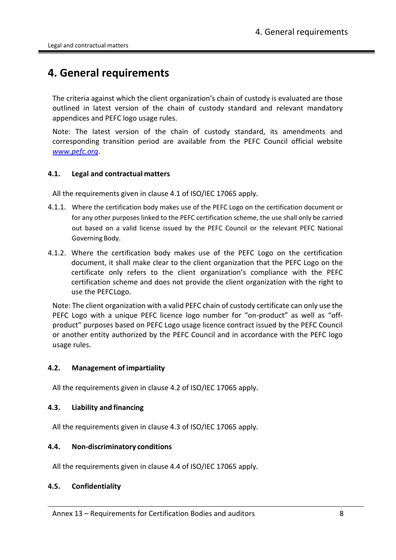# <span id="page-7-0"></span>**4. General requirements**

The criteria against which the client organization's chain of custody is evaluated are those outlined in latest version of the chain of custody standard and relevant mandatory appendices and PEFC logo usage rules.

Note: The latest version of the chain of custody standard, its amendments and corresponding transition period are available from the PEFC Council official website *[www.pefc.org](http://www.pefc.org/)*.

#### <span id="page-7-1"></span>**4.1. Legal and contractual matters**

All the requirements given in clause 4.1 of ISO/IEC 17065 apply.

- 4.1.1. Where the certification body makes use of the PEFC Logo on the certification document or for any other purposes linked to the PEFC certification scheme, the use shall only be carried out based on a valid license issued by the PEFC Council or the relevant PEFC National Governing Body.
- 4.1.2. Where the certification body makes use of the PEFC Logo on the certification document, it shall make clear to the client organization that the PEFC Logo on the certificate only refers to the client organization's compliance with the PEFC certification scheme and does not provide the client organization with the right to use the PEFCLogo.

Note: The client organization with a valid PEFC chain of custody certificate can only use the PEFC Logo with a unique PEFC licence logo number for "on-product" as well as "offproduct" purposes based on PEFC Logo usage licence contract issued by the PEFC Council or another entity authorized by the PEFC Council and in accordance with the PEFC logo usage rules.

#### <span id="page-7-2"></span>**4.2. Management of impartiality**

All the requirements given in clause 4.2 of ISO/IEC 17065 apply.

#### <span id="page-7-3"></span>**4.3. Liability and financing**

All the requirements given in clause 4.3 of ISO/IEC 17065 apply.

#### <span id="page-7-4"></span>**4.4. Non-discriminatory conditions**

All the requirements given in clause 4.4 of ISO/IEC 17065 apply.

#### <span id="page-7-5"></span>**4.5. Confidentiality**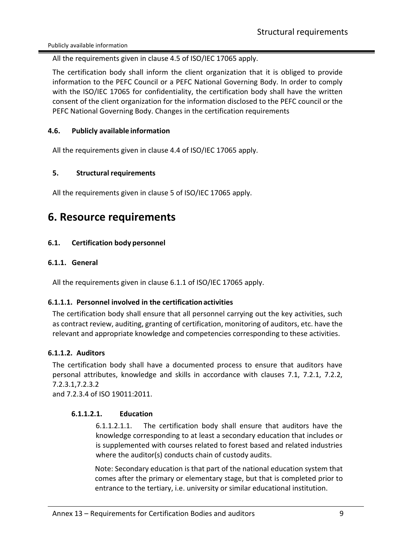Publicly available information

All the requirements given in clause 4.5 of ISO/IEC 17065 apply.

The certification body shall inform the client organization that it is obliged to provide information to the PEFC Council or a PEFC National Governing Body. In order to comply with the ISO/IEC 17065 for confidentiality, the certification body shall have the written consent of the client organization for the information disclosed to the PEFC council or the PEFC National Governing Body. Changes in the certification requirements

#### <span id="page-8-0"></span>**4.6. Publicly available information**

All the requirements given in clause 4.4 of ISO/IEC 17065 apply.

#### <span id="page-8-1"></span>**5. Structural requirements**

All the requirements given in clause 5 of ISO/IEC 17065 apply.

### <span id="page-8-2"></span>**6. Resource requirements**

#### <span id="page-8-3"></span>**6.1. Certification body personnel**

#### <span id="page-8-4"></span>**6.1.1. General**

All the requirements given in clause 6.1.1 of ISO/IEC 17065 apply.

#### <span id="page-8-5"></span>**6.1.1.1. Personnel involved in the certificationactivities**

The certification body shall ensure that all personnel carrying out the key activities, such as contract review, auditing, granting of certification, monitoring of auditors, etc. have the relevant and appropriate knowledge and competencies corresponding to these activities.

#### <span id="page-8-6"></span>**6.1.1.2. Auditors**

The certification body shall have a documented process to ensure that auditors have personal attributes, knowledge and skills in accordance with clauses 7.1, 7.2.1, 7.2.2, 7.2.3.1,7.2.3.2

<span id="page-8-7"></span>and 7.2.3.4 of ISO 19011:2011.

#### **6.1.1.2.1. Education**

6.1.1.2.1.1. The certification body shall ensure that auditors have the knowledge corresponding to at least a secondary education that includes or is supplemented with courses related to forest based and related industries where the auditor(s) conducts chain of custody audits.

Note: Secondary education is that part of the national education system that comes after the primary or elementary stage, but that is completed prior to entrance to the tertiary, i.e. university or similar educational institution.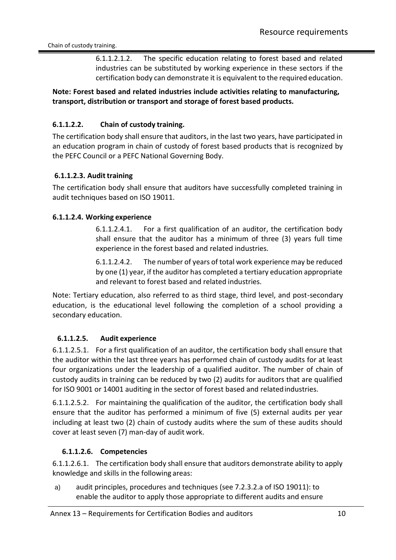6.1.1.2.1.2. The specific education relating to forest based and related industries can be substituted by working experience in these sectors if the certification body can demonstrate it is equivalent to the required education.

#### **Note: Forest based and related industries include activities relating to manufacturing, transport, distribution or transport and storage of forest based products.**

#### <span id="page-9-0"></span>**6.1.1.2.2. Chain of custody training.**

The certification body shall ensure that auditors, in the last two years, have participated in an education program in chain of custody of forest based products that is recognized by the PEFC Council or a PEFC National Governing Body.

#### <span id="page-9-1"></span>**6.1.1.2.3. Audit training**

The certification body shall ensure that auditors have successfully completed training in audit techniques based on ISO 19011.

#### **6.1.1.2.4. Working experience**

<span id="page-9-2"></span>6.1.1.2.4.1. For a first qualification of an auditor, the certification body shall ensure that the auditor has a minimum of three (3) years full time experience in the forest based and related industries.

6.1.1.2.4.2. The number of years of total work experience may be reduced by one (1) year, if the auditor has completed a tertiary education appropriate and relevant to forest based and related industries.

Note: Tertiary education, also referred to as third stage, third level, and post-secondary education, is the educational level following the completion of a school providing a secondary education.

#### <span id="page-9-3"></span>**6.1.1.2.5. Audit experience**

6.1.1.2.5.1. For a first qualification of an auditor, the certification body shall ensure that the auditor within the last three years has performed chain of custody audits for at least four organizations under the leadership of a qualified auditor. The number of chain of custody audits in training can be reduced by two (2) audits for auditors that are qualified for ISO 9001 or 14001 auditing in the sector of forest based and relatedindustries.

6.1.1.2.5.2. For maintaining the qualification of the auditor, the certification body shall ensure that the auditor has performed a minimum of five (5) external audits per year including at least two (2) chain of custody audits where the sum of these audits should cover at least seven (7) man-day of audit work.

#### **6.1.1.2.6. Competencies**

<span id="page-9-4"></span>6.1.1.2.6.1. The certification body shall ensure that auditors demonstrate ability to apply knowledge and skills in the following areas:

a) audit principles, procedures and techniques (see 7.2.3.2.a of ISO 19011): to enable the auditor to apply those appropriate to different audits and ensure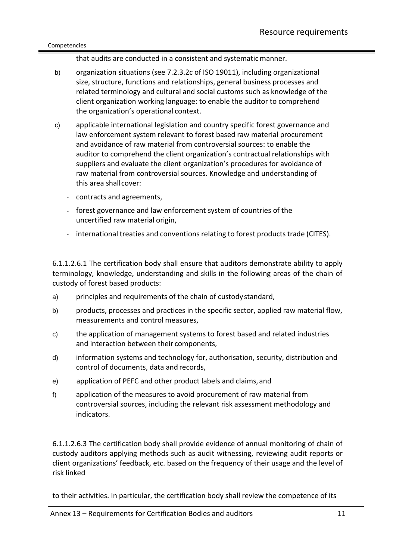that audits are conducted in a consistent and systematic manner.

- b) organization situations (see 7.2.3.2c of ISO 19011), including organizational size, structure, functions and relationships, general business processes and related terminology and cultural and social customs such as knowledge of the client organization working language: to enable the auditor to comprehend the organization's operational context.
- c) applicable international legislation and country specific forest governance and law enforcement system relevant to forest based raw material procurement and avoidance of raw material from controversial sources: to enable the auditor to comprehend the client organization's contractual relationships with suppliers and evaluate the client organization's procedures for avoidance of raw material from controversial sources. Knowledge and understanding of this area shallcover:
	- contracts and agreements,
	- forest governance and law enforcement system of countries of the uncertified raw material origin,
	- international treaties and conventions relating to forest products trade (CITES).

6.1.1.2.6.1 The certification body shall ensure that auditors demonstrate ability to apply terminology, knowledge, understanding and skills in the following areas of the chain of custody of forest based products:

- a) principles and requirements of the chain of custodystandard,
- b) products, processes and practices in the specific sector, applied raw material flow, measurements and control measures,
- c) the application of management systems to forest based and related industries and interaction between their components,
- d) information systems and technology for, authorisation, security, distribution and control of documents, data and records,
- e) application of PEFC and other product labels and claims, and
- f) application of the measures to avoid procurement of raw material from controversial sources, including the relevant risk assessment methodology and indicators.

6.1.1.2.6.3 The certification body shall provide evidence of annual monitoring of chain of custody auditors applying methods such as audit witnessing, reviewing audit reports or client organizations' feedback, etc. based on the frequency of their usage and the level of risk linked

to their activities. In particular, the certification body shall review the competence of its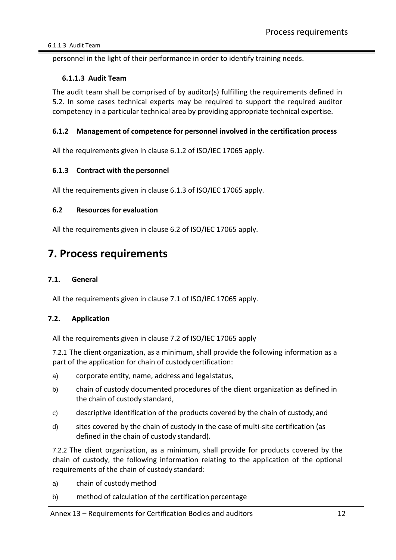personnel in the light of their performance in order to identify training needs.

#### <span id="page-11-0"></span>**6.1.1.3 Audit Team**

The audit team shall be comprised of by auditor(s) fulfilling the requirements defined in 5.2. In some cases technical experts may be required to support the required auditor competency in a particular technical area by providing appropriate technical expertise.

#### <span id="page-11-1"></span>**6.1.2 Management of competence for personnel involved in the certification process**

All the requirements given in clause 6.1.2 of ISO/IEC 17065 apply.

#### <span id="page-11-2"></span>**6.1.3 Contract with the personnel**

All the requirements given in clause 6.1.3 of ISO/IEC 17065 apply.

#### <span id="page-11-3"></span>**6.2 Resources for evaluation**

All the requirements given in clause 6.2 of ISO/IEC 17065 apply.

### <span id="page-11-4"></span>**7. Process requirements**

#### <span id="page-11-5"></span>**7.1. General**

All the requirements given in clause 7.1 of ISO/IEC 17065 apply.

#### <span id="page-11-6"></span>**7.2. Application**

All the requirements given in clause 7.2 of ISO/IEC 17065 apply

7.2.1 The client organization, as a minimum, shall provide the following information as a part of the application for chain of custody certification:

- a) corporate entity, name, address and legal status,
- b) chain of custody documented procedures of the client organization as defined in the chain of custody standard,
- c) descriptive identification of the products covered by the chain of custody,and
- d) sites covered by the chain of custody in the case of multi-site certification (as defined in the chain of custody standard).

7.2.2 The client organization, as a minimum, shall provide for products covered by the chain of custody, the following information relating to the application of the optional requirements of the chain of custody standard:

- a) chain of custody method
- b) method of calculation of the certification percentage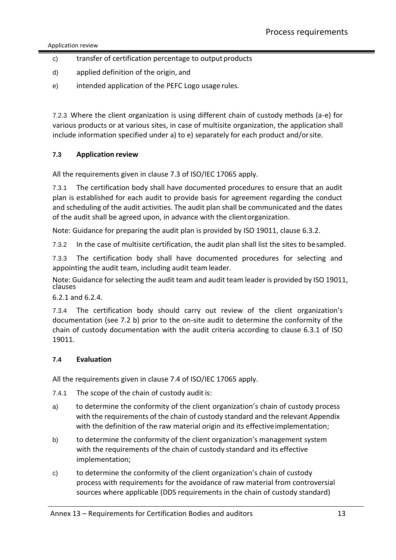Application review

- c) transfer of certification percentage to output products
- d) applied definition of the origin, and
- e) intended application of the PEFC Logo usage rules.

7.2.3 Where the client organization is using different chain of custody methods (a-e) for various products or at various sites, in case of multisite organization, the application shall include information specified under a) to e) separately for each product and/orsite.

#### <span id="page-12-0"></span>**7.3 Application review**

All the requirements given in clause 7.3 of ISO/IEC 17065 apply.

7.3.1 The certification body shall have documented procedures to ensure that an audit plan is established for each audit to provide basis for agreement regarding the conduct and scheduling of the audit activities. The audit plan shall be communicated and the dates of the audit shall be agreed upon, in advance with the clientorganization.

Note: Guidance for preparing the audit plan is provided by ISO 19011, clause 6.3.2.

7.3.2 In the case of multisite certification, the audit plan shall list the sites to besampled.

7.3.3 The certification body shall have documented procedures for selecting and appointing the audit team, including audit teamleader.

Note: Guidance for selecting the audit team and audit team leader is provided by ISO 19011, clauses

6.2.1 and 6.2.4.

7.3.4 The certification body should carry out review of the client organization's documentation (see 7.2 b) prior to the on-site audit to determine the conformity of the chain of custody documentation with the audit criteria according to clause 6.3.1 of ISO 19011.

#### <span id="page-12-1"></span>**7.4 Evaluation**

All the requirements given in clause 7.4 of ISO/IEC 17065 apply.

- 7.4.1 The scope of the chain of custody audit is:
- a) to determine the conformity of the client organization's chain of custody process with the requirements of the chain of custody standard and the relevant Appendix with the definition of the raw material origin and its effectiveimplementation;
- b) to determine the conformity of the client organization's management system with the requirements of the chain of custody standard and its effective implementation;
- c) to determine the conformity of the client organization's chain of custody process with requirements for the avoidance of raw material from controversial sources where applicable (DDS requirements in the chain of custody standard)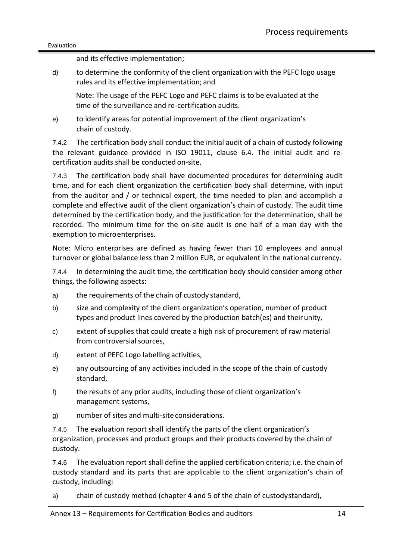and its effective implementation;

d) to determine the conformity of the client organization with the PEFC logo usage rules and its effective implementation; and

Note: The usage of the PEFC Logo and PEFC claims is to be evaluated at the time of the surveillance and re-certification audits.

e) to identify areas for potential improvement of the client organization's chain of custody.

7.4.2 The certification body shall conduct the initial audit of a chain of custody following the relevant guidance provided in ISO 19011, clause 6.4. The initial audit and recertification audits shall be conducted on-site.

7.4.3 The certification body shall have documented procedures for determining audit time, and for each client organization the certification body shall determine, with input from the auditor and / or technical expert, the time needed to plan and accomplish a complete and effective audit of the client organization's chain of custody. The audit time determined by the certification body, and the justification for the determination, shall be recorded. The minimum time for the on-site audit is one half of a man day with the exemption to microenterprises.

Note: Micro enterprises are defined as having fewer than 10 employees and annual turnover or global balance less than 2 million EUR, or equivalent in the national currency.

7.4.4 In determining the audit time, the certification body should consider among other things, the following aspects:

- a) the requirements of the chain of custody standard,
- b) size and complexity of the client organization's operation, number of product types and product lines covered by the production batch(es) and theirunity,
- c) extent of supplies that could create a high risk of procurement of raw material from controversial sources,
- d) extent of PEFC Logo labelling activities,
- e) any outsourcing of any activities included in the scope of the chain of custody standard,
- f) the results of any prior audits, including those of client organization's management systems,
- g) number of sites and multi-site considerations.

7.4.5 The evaluation report shall identify the parts of the client organization's organization, processes and product groups and their products covered by the chain of custody.

7.4.6 The evaluation report shall define the applied certification criteria; i.e. the chain of custody standard and its parts that are applicable to the client organization's chain of custody, including:

a) chain of custody method (chapter 4 and 5 of the chain of custodystandard),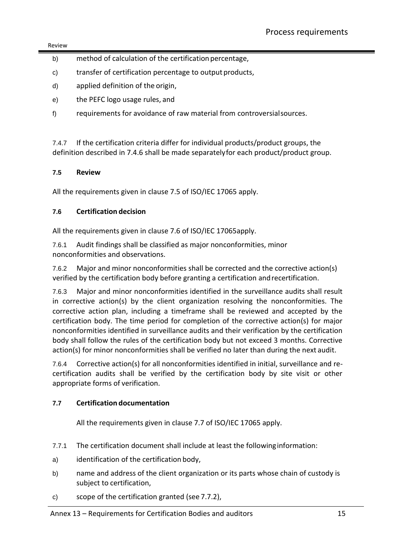#### Review

- b) method of calculation of the certification percentage,
- c) transfer of certification percentage to output products,
- d) applied definition of the origin,
- e) the PEFC logo usage rules, and
- f) requirements for avoidance of raw material from controversialsources.

7.4.7 If the certification criteria differ for individual products/product groups, the definition described in 7.4.6 shall be made separatelyfor each product/product group.

#### <span id="page-14-0"></span>**7.5 Review**

All the requirements given in clause 7.5 of ISO/IEC 17065 apply.

#### <span id="page-14-1"></span>**7.6 Certification decision**

All the requirements given in clause 7.6 of ISO/IEC 17065apply.

7.6.1 Audit findings shall be classified as major nonconformities, minor nonconformities and observations.

7.6.2 Major and minor nonconformities shall be corrected and the corrective action(s) verified by the certification body before granting a certification andrecertification.

7.6.3 Major and minor nonconformities identified in the surveillance audits shall result in corrective action(s) by the client organization resolving the nonconformities. The corrective action plan, including a timeframe shall be reviewed and accepted by the certification body. The time period for completion of the corrective action(s) for major nonconformities identified in surveillance audits and their verification by the certification body shall follow the rules of the certification body but not exceed 3 months. Corrective action(s) for minor nonconformities shall be verified no later than during the next audit.

7.6.4 Corrective action(s) for all nonconformities identified in initial, surveillance and recertification audits shall be verified by the certification body by site visit or other appropriate forms of verification.

#### <span id="page-14-2"></span>**7.7 Certification documentation**

All the requirements given in clause 7.7 of ISO/IEC 17065 apply.

- 7.7.1 The certification document shall include at least the followinginformation:
- a) identification of the certification body,
- b) name and address of the client organization or its parts whose chain of custody is subject to certification,
- c) scope of the certification granted (see 7.7.2),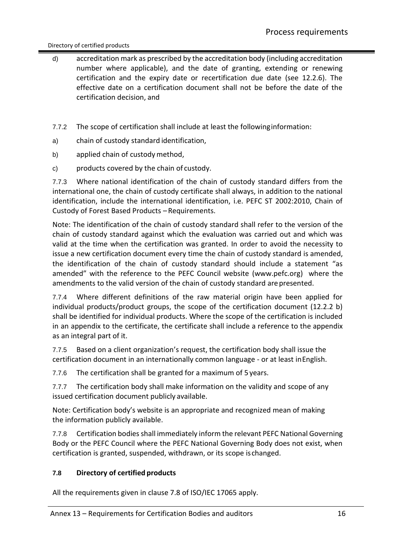#### Directory of certified products

- d) accreditation mark as prescribed by the accreditation body (including accreditation number where applicable), and the date of granting, extending or renewing certification and the expiry date or recertification due date (see 12.2.6). The effective date on a certification document shall not be before the date of the certification decision, and
- 7.7.2 The scope of certification shall include at least the followinginformation:
- a) chain of custody standard identification,
- b) applied chain of custody method,
- c) products covered by the chain of custody.

7.7.3 Where national identification of the chain of custody standard differs from the international one, the chain of custody certificate shall always, in addition to the national identification, include the international identification, i.e. PEFC ST 2002:2010, Chain of Custody of Forest Based Products –Requirements.

Note: The identification of the chain of custody standard shall refer to the version of the chain of custody standard against which the evaluation was carried out and which was valid at the time when the certification was granted. In order to avoid the necessity to issue a new certification document every time the chain of custody standard is amended, the identification of the chain of custody standard should include a statement "as amended" with the reference to the PEFC Council website [\(www.pefc.org\)](http://www.pefc.org/) where the amendments to the valid version of the chain of custody standard arepresented.

7.7.4 Where different definitions of the raw material origin have been applied for individual products/product groups, the scope of the certification document (12.2.2 b) shall be identified for individual products. Where the scope of the certification is included in an appendix to the certificate, the certificate shall include a reference to the appendix as an integral part of it.

7.7.5 Based on a client organization's request, the certification body shall issue the certification document in an internationally common language - or at least inEnglish.

7.7.6 The certification shall be granted for a maximum of 5 years.

7.7.7 The certification body shall make information on the validity and scope of any issued certification document publicly available.

Note: Certification body's website is an appropriate and recognized mean of making the information publicly available.

7.7.8 Certification bodies shall immediately inform the relevant PEFC National Governing Body or the PEFC Council where the PEFC National Governing Body does not exist, when certification is granted, suspended, withdrawn, or its scope ischanged.

#### <span id="page-15-0"></span>**7.8 Directory of certified products**

All the requirements given in clause 7.8 of ISO/IEC 17065 apply.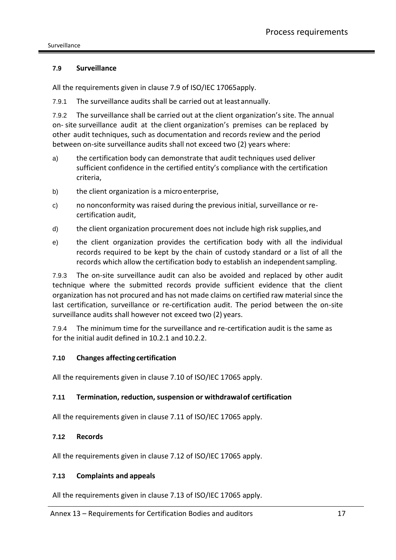#### <span id="page-16-0"></span>**7.9 Surveillance**

All the requirements given in clause 7.9 of ISO/IEC 17065apply.

7.9.1 The surveillance audits shall be carried out at leastannually.

7.9.2 The surveillance shall be carried out at the client organization's site. The annual on- site surveillance audit at the client organization's premises can be replaced by other audit techniques, such as documentation and records review and the period between on-site surveillance audits shall not exceed two (2) years where:

- a) the certification body can demonstrate that audit techniques used deliver sufficient confidence in the certified entity's compliance with the certification criteria,
- b) the client organization is a micro enterprise,
- c) no nonconformity was raised during the previous initial, surveillance or recertification audit,
- d) the client organization procurement does not include high risk supplies,and
- e) the client organization provides the certification body with all the individual records required to be kept by the chain of custody standard or a list of all the records which allow the certification body to establish an independentsampling.

7.9.3 The on-site surveillance audit can also be avoided and replaced by other audit technique where the submitted records provide sufficient evidence that the client organization has not procured and has not made claims on certified raw material since the last certification, surveillance or re-certification audit. The period between the on-site surveillance audits shall however not exceed two (2) years.

7.9.4 The minimum time for the surveillance and re-certification audit is the same as for the initial audit defined in 10.2.1 and 10.2.2.

#### <span id="page-16-1"></span>**7.10 Changes affecting certification**

All the requirements given in clause 7.10 of ISO/IEC 17065 apply.

#### <span id="page-16-2"></span>**7.11 Termination, reduction, suspension or withdrawalof certification**

All the requirements given in clause 7.11 of ISO/IEC 17065 apply.

#### <span id="page-16-3"></span>**7.12 Records**

All the requirements given in clause 7.12 of ISO/IEC 17065 apply.

#### <span id="page-16-4"></span>**7.13 Complaints and appeals**

All the requirements given in clause 7.13 of ISO/IEC 17065 apply.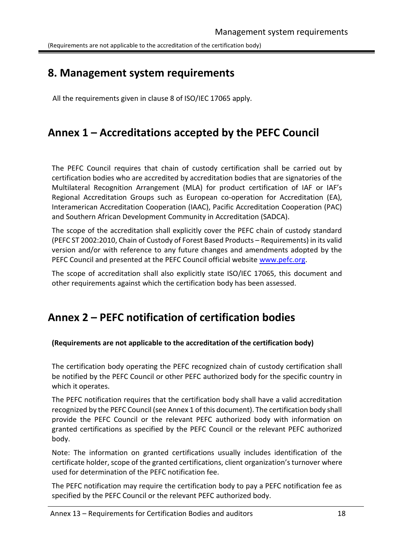(Requirements are not applicable to the accreditation of the certification body)

## <span id="page-17-0"></span>**8. Management system requirements**

All the requirements given in clause 8 of ISO/IEC 17065 apply.

# <span id="page-17-1"></span>**Annex 1 – Accreditations accepted by the PEFC Council**

The PEFC Council requires that chain of custody certification shall be carried out by certification bodies who are accredited by accreditation bodies that are signatories of the Multilateral Recognition Arrangement (MLA) for product certification of IAF or IAF's Regional Accreditation Groups such as European co-operation for Accreditation (EA), Interamerican Accreditation Cooperation (IAAC), Pacific Accreditation Cooperation (PAC) and Southern African Development Community in Accreditation (SADCA).

The scope of the accreditation shall explicitly cover the PEFC chain of custody standard (PEFC ST 2002:2010, Chain of Custody of Forest Based Products – Requirements) in its valid version and/or with reference to any future changes and amendments adopted by the PEFC Council and presented at the PEFC Council official website [www.pefc.org.](http://www.pefc.org/)

The scope of accreditation shall also explicitly state ISO/IEC 17065, this document and other requirements against which the certification body has been assessed.

### <span id="page-17-2"></span>**Annex 2 – PEFC notification of certification bodies**

#### <span id="page-17-3"></span>**(Requirements are not applicable to the accreditation of the certification body)**

The certification body operating the PEFC recognized chain of custody certification shall be notified by the PEFC Council or other PEFC authorized body for the specific country in which it operates.

The PEFC notification requires that the certification body shall have a valid accreditation recognized by the PEFC Council (see Annex 1 of this document). The certification body shall provide the PEFC Council or the relevant PEFC authorized body with information on granted certifications as specified by the PEFC Council or the relevant PEFC authorized body.

Note: The information on granted certifications usually includes identification of the certificate holder, scope of the granted certifications, client organization's turnover where used for determination of the PEFC notification fee.

The PEFC notification may require the certification body to pay a PEFC notification fee as specified by the PEFC Council or the relevant PEFC authorized body.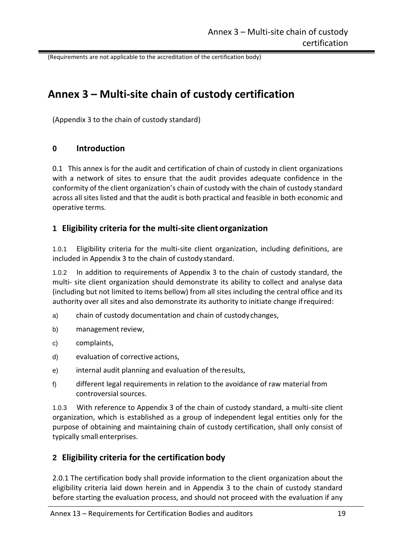(Requirements are not applicable to the accreditation of the certification body)

### <span id="page-18-0"></span>**Annex 3 – Multi-site chain of custody certification**

(Appendix 3 to the chain of custody standard)

#### <span id="page-18-1"></span>**0 Introduction**

0.1 This annex is for the audit and certification of chain of custody in client organizations with a network of sites to ensure that the audit provides adequate confidence in the conformity of the client organization's chain of custody with the chain of custody standard across all sites listed and that the audit is both practical and feasible in both economic and operative terms.

#### <span id="page-18-2"></span>**1 Eligibility criteria for the multi-site clientorganization**

1.0.1 Eligibility criteria for the multi-site client organization, including definitions, are included in Appendix 3 to the chain of custody standard.

1.0.2 In addition to requirements of Appendix 3 to the chain of custody standard, the multi- site client organization should demonstrate its ability to collect and analyse data (including but not limited to items bellow) from all sites including the central office and its authority over all sites and also demonstrate its authority to initiate change ifrequired:

- a) chain of custody documentation and chain of custodychanges,
- b) management review,
- c) complaints,
- d) evaluation of corrective actions,
- e) internal audit planning and evaluation of theresults,
- f) different legal requirements in relation to the avoidance of raw material from controversial sources.

1.0.3 With reference to Appendix 3 of the chain of custody standard, a multi-site client organization, which is established as a group of independent legal entities only for the purpose of obtaining and maintaining chain of custody certification, shall only consist of typically small enterprises.

#### <span id="page-18-3"></span>**2 Eligibility criteria for the certification body**

2.0.1 The certification body shall provide information to the client organization about the eligibility criteria laid down herein and in Appendix 3 to the chain of custody standard before starting the evaluation process, and should not proceed with the evaluation if any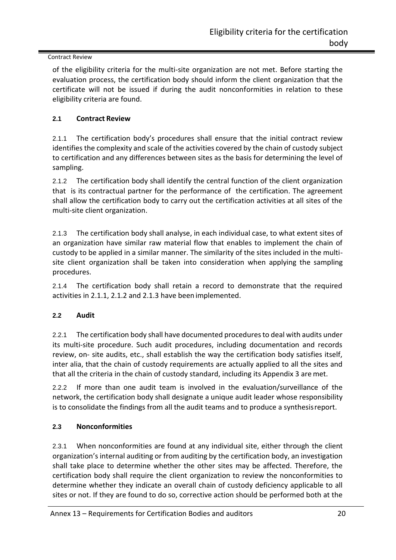#### Contract Review

of the eligibility criteria for the multi-site organization are not met. Before starting the evaluation process, the certification body should inform the client organization that the certificate will not be issued if during the audit nonconformities in relation to these eligibility criteria are found.

#### <span id="page-19-0"></span>**2.1 Contract Review**

2.1.1 The certification body's procedures shall ensure that the initial contract review identifies the complexity and scale of the activities covered by the chain of custody subject to certification and any differences between sites as the basis for determining the level of sampling.

2.1.2 The certification body shall identify the central function of the client organization that is its contractual partner for the performance of the certification. The agreement shall allow the certification body to carry out the certification activities at all sites of the multi-site client organization.

2.1.3 The certification body shall analyse, in each individual case, to what extent sites of an organization have similar raw material flow that enables to implement the chain of custody to be applied in a similar manner. The similarity of the sites included in the multisite client organization shall be taken into consideration when applying the sampling procedures.

2.1.4 The certification body shall retain a record to demonstrate that the required activities in 2.1.1, 2.1.2 and 2.1.3 have been implemented.

#### <span id="page-19-1"></span>**2.2 Audit**

2.2.1 The certification body shall have documented procedures to deal with audits under its multi-site procedure. Such audit procedures, including documentation and records review, on- site audits, etc., shall establish the way the certification body satisfies itself, inter alia, that the chain of custody requirements are actually applied to all the sites and that all the criteria in the chain of custody standard, including its Appendix 3 are met.

2.2.2 If more than one audit team is involved in the evaluation/surveillance of the network, the certification body shall designate a unique audit leader whose responsibility is to consolidate the findings from all the audit teams and to produce a synthesisreport.

#### <span id="page-19-2"></span>**2.3 Nonconformities**

2.3.1 When nonconformities are found at any individual site, either through the client organization's internal auditing or from auditing by the certification body, an investigation shall take place to determine whether the other sites may be affected. Therefore, the certification body shall require the client organization to review the nonconformities to determine whether they indicate an overall chain of custody deficiency applicable to all sites or not. If they are found to do so, corrective action should be performed both at the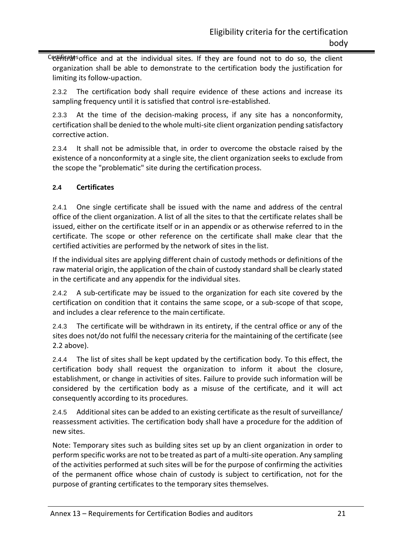Cetelifient and at the individual sites. If they are found not to do so, the client organization shall be able to demonstrate to the certification body the justification for limiting its follow-upaction.

2.3.2 The certification body shall require evidence of these actions and increase its sampling frequency until it is satisfied that control isre-established.

2.3.3 At the time of the decision-making process, if any site has a nonconformity, certification shall be denied to the whole multi-site client organization pending satisfactory corrective action.

2.3.4 It shall not be admissible that, in order to overcome the obstacle raised by the existence of a nonconformity at a single site, the client organization seeks to exclude from the scope the "problematic" site during the certification process.

#### <span id="page-20-0"></span>**2.4 Certificates**

2.4.1 One single certificate shall be issued with the name and address of the central office of the client organization. A list of all the sites to that the certificate relates shall be issued, either on the certificate itself or in an appendix or as otherwise referred to in the certificate. The scope or other reference on the certificate shall make clear that the certified activities are performed by the network of sites in the list.

If the individual sites are applying different chain of custody methods or definitions of the raw material origin, the application of the chain of custody standard shall be clearly stated in the certificate and any appendix for the individual sites.

2.4.2 A sub-certificate may be issued to the organization for each site covered by the certification on condition that it contains the same scope, or a sub-scope of that scope, and includes a clear reference to the main certificate.

2.4.3 The certificate will be withdrawn in its entirety, if the central office or any of the sites does not/do not fulfil the necessary criteria for the maintaining of the certificate (see 2.2 above).

2.4.4 The list of sites shall be kept updated by the certification body. To this effect, the certification body shall request the organization to inform it about the closure, establishment, or change in activities of sites. Failure to provide such information will be considered by the certification body as a misuse of the certificate, and it will act consequently according to its procedures.

2.4.5 Additional sites can be added to an existing certificate as the result of surveillance/ reassessment activities. The certification body shall have a procedure for the addition of new sites.

Note: Temporary sites such as building sites set up by an client organization in order to perform specific works are not to be treated as part of a multi-site operation. Any sampling of the activities performed at such sites will be for the purpose of confirming the activities of the permanent office whose chain of custody is subject to certification, not for the purpose of granting certificates to the temporary sites themselves.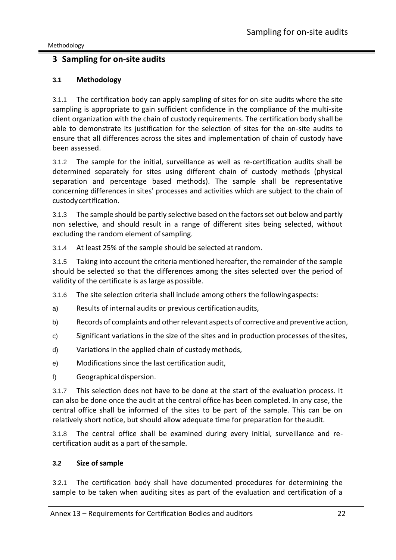#### <span id="page-21-0"></span>**3 Sampling for on-site audits**

#### <span id="page-21-1"></span>**3.1 Methodology**

3.1.1 The certification body can apply sampling of sites for on-site audits where the site sampling is appropriate to gain sufficient confidence in the compliance of the multi-site client organization with the chain of custody requirements. The certification body shall be able to demonstrate its justification for the selection of sites for the on-site audits to ensure that all differences across the sites and implementation of chain of custody have been assessed.

3.1.2 The sample for the initial, surveillance as well as re-certification audits shall be determined separately for sites using different chain of custody methods (physical separation and percentage based methods). The sample shall be representative concerning differences in sites' processes and activities which are subject to the chain of custodycertification.

3.1.3 The sample should be partly selective based on the factors set out below and partly non selective, and should result in a range of different sites being selected, without excluding the random element of sampling.

3.1.4 At least 25% of the sample should be selected atrandom.

3.1.5 Taking into account the criteria mentioned hereafter, the remainder of the sample should be selected so that the differences among the sites selected over the period of validity of the certificate is as large as possible.

3.1.6 The site selection criteria shall include among others the followingaspects:

- a) Results of internal audits or previous certification audits,
- b) Records of complaints and other relevant aspects of corrective and preventive action,
- c) Significant variations in the size of the sites and in production processes of thesites,
- d) Variations in the applied chain of custodymethods,
- e) Modifications since the last certification audit,
- f) Geographical dispersion.

3.1.7 This selection does not have to be done at the start of the evaluation process. It can also be done once the audit at the central office has been completed. In any case, the central office shall be informed of the sites to be part of the sample. This can be on relatively short notice, but should allow adequate time for preparation for theaudit.

3.1.8 The central office shall be examined during every initial, surveillance and recertification audit as a part of the sample.

#### <span id="page-21-2"></span>**3.2 Size ofsample**

3.2.1 The certification body shall have documented procedures for determining the sample to be taken when auditing sites as part of the evaluation and certification of a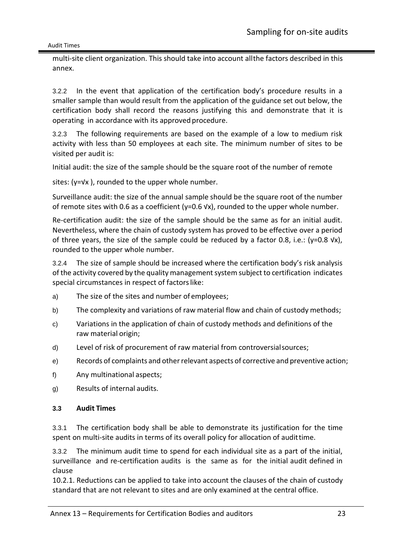multi-site client organization. This should take into account allthe factors described in this annex.

3.2.2 In the event that application of the certification body's procedure results in a smaller sample than would result from the application of the guidance set out below, the certification body shall record the reasons justifying this and demonstrate that it is operating in accordance with its approved procedure.

3.2.3 The following requirements are based on the example of a low to medium risk activity with less than 50 employees at each site. The minimum number of sites to be visited per audit is:

Initial audit: the size of the sample should be the square root of the number of remote

sites: (y=√x ), rounded to the upper whole number.

Surveillance audit: the size of the annual sample should be the square root of the number of remote sites with 0.6 as a coefficient ( $y=0.6$  Vx), rounded to the upper whole number.

Re-certification audit: the size of the sample should be the same as for an initial audit. Nevertheless, where the chain of custody system has proved to be effective over a period of three years, the size of the sample could be reduced by a factor 0.8, i.e.: (y=0.8  $\forall x$ ), rounded to the upper whole number.

3.2.4 The size of sample should be increased where the certification body's risk analysis of the activity covered by the quality management system subject to certification indicates special circumstances in respect of factors like:

- a) The size of the sites and number of employees;
- b) The complexity and variations of raw material flow and chain of custody methods;
- c) Variations in the application of chain of custody methods and definitions of the raw material origin;
- d) Level of risk of procurement of raw material from controversialsources;
- e) Records of complaints and otherrelevant aspects of corrective and preventive action;
- f) Any multinational aspects;
- g) Results of internal audits.

#### <span id="page-22-0"></span>**3.3 Audit Times**

3.3.1 The certification body shall be able to demonstrate its justification for the time spent on multi-site audits in terms of its overall policy for allocation of audittime.

3.3.2 The minimum audit time to spend for each individual site as a part of the initial, surveillance and re-certification audits is the same as for the initial audit defined in clause

10.2.1. Reductions can be applied to take into account the clauses of the chain of custody standard that are not relevant to sites and are only examined at the central office.